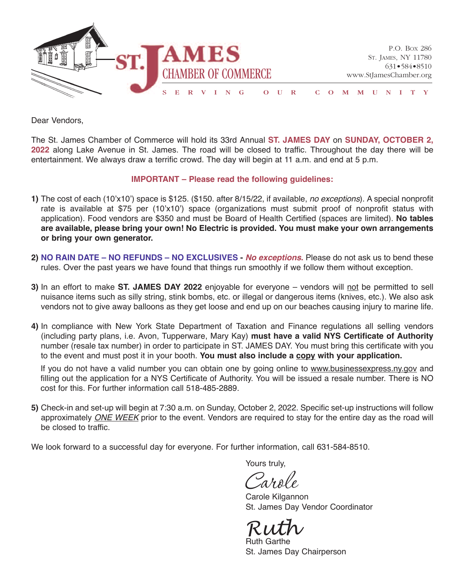

Dear Vendors,

The St. James Chamber of Commerce will hold its 33rd Annual **ST. JAMES DAY** on **SUNDAY, OcTObEr 2, 2022** along Lake Avenue in St. James. The road will be closed to traffic. Throughout the day there will be entertainment. We always draw a terrific crowd. The day will begin at 11 a.m. and end at 5 p.m.

## **IMPOrTANT – Please read the following guidelines:**

- **1)** The cost of each (10'x10') space is \$125. (\$150. after 8/15/22, if available, no exceptions). A special nonprofit rate is available at \$75 per (10'x10') space (organizations must submit proof of nonprofit status with application). Food vendors are \$350 and must be Board of Health Certified (spaces are limited). **No tables are available, please bring your own! No Electric is provided. You must make your own arrangements or bring your own generator.**
- **2) NO rAIN DATE – NO rEFUNDS – NO ExclUSIvES - No exceptions.** Please do not ask us to bend these rules. Over the past years we have found that things run smoothly if we follow them without exception.
- **3)** In an effort to make **ST. JAMES DAY 2022** enjoyable for everyone vendors will not be permitted to sell nuisance items such as silly string, stink bombs, etc. or illegal or dangerous items (knives, etc.). We also ask vendors not to give away balloons as they get loose and end up on our beaches causing injury to marine life.
- **4)** In compliance with New York State Department of Taxation and Finance regulations all selling vendors (including party plans, i.e. Avon, Tupperware, Mary Kay) **must have a valid NYS certificate of Authority** number (resale tax number) in order to participate in ST. JAMeS DAY. You must bring this certificate with you to the event and must post it in your booth. **You must also include a copy with your application.**

If you do not have a valid number you can obtain one by going online to www.businessexpress.ny.gov and filling out the application for a NYS Certificate of Authority. You will be issued a resale number. There is NO cost for this. For further information call 518-485-2889.

**5)** Check-in and set-up will begin at 7:30 a.m. on Sunday, October 2, 2022. Specific set-up instructions will follow approximately ONE WEEK prior to the event. Vendors are required to stay for the entire day as the road will be closed to traffic.

We look forward to a successful day for everyone. For further information, call 631-584-8510.

Yours truly,

Carole Carole Kilgannon

St. James Day Vendor Coordinator

*Ruth* Ruth Garthe

St. James Day Chairperson